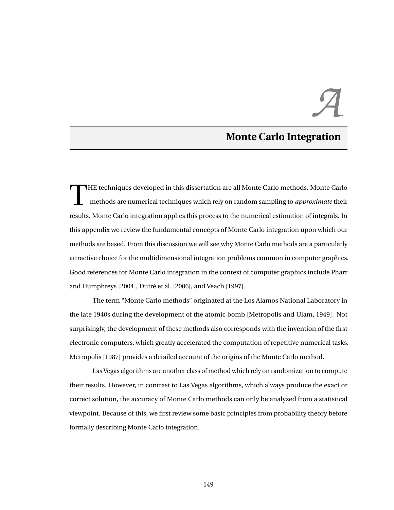# *A*

# **Monte Carlo Integration**

T HE techniques developed in this dissertation are all Monte Carlo methods. Monte Carlo methods are numerical techniques which rely on random sampling to *approximate* their results. Monte Carlo integration applies this process to the numerical estimation of integrals. In this appendix we review the fundamental concepts of Monte Carlo integration upon which our methods are based. From this discussion we will see why Monte Carlo methods are a particularly attractive choice for the multidimensional integration problems common in computer graphics. Good references for Monte Carlo integration in the context of computer graphics include [Pharr](#page--1-0) [and Humphreys](#page--1-0) [\[2004\]](#page--1-0), [Dutré et al.](#page--1-1) [\[2006\]](#page--1-1), and [Veach](#page--1-2) [\[1997\]](#page--1-2).

The term "Monte Carlo methods" originated at the Los Alamos National Laboratory in the late 1940s during the development of the atomic bomb [\[Metropolis and Ulam,](#page--1-3) [1949\]](#page--1-3). Not surprisingly, the development of these methods also corresponds with the invention of the first electronic computers, which greatly accelerated the computation of repetitive numerical tasks. [Metropolis](#page--1-4) [\[1987\]](#page--1-4) provides a detailed account of the origins of the Monte Carlo method.

Las Vegas algorithms are another class of method which rely on randomization to compute their results. However, in contrast to Las Vegas algorithms, which always produce the exact or correct solution, the accuracy of Monte Carlo methods can only be analyzed from a statistical viewpoint. Because of this, we first review some basic principles from probability theory before formally describing Monte Carlo integration.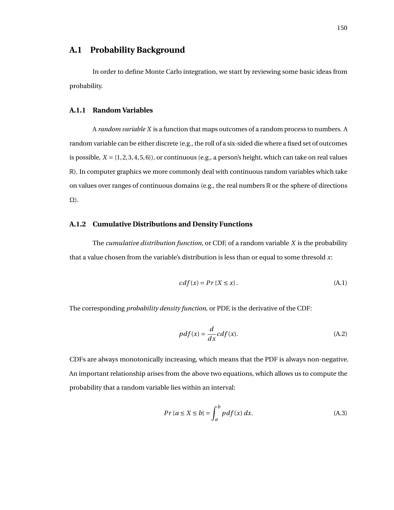# **A.1 Probability Background**

In order to define Monte Carlo integration, we start by reviewing some basic ideas from probability.

### **A.1.1 Random Variables**

A *random variable X* is a function that maps outcomes of a random process to numbers. A random variable can be either discrete (e.g., the roll of a six-sided die where a fixed set of outcomes is possible,  $X = \{1, 2, 3, 4, 5, 6\}$ , or continuous (e.g., a person's height, which can take on real values R). In computer graphics we more commonly deal with continuous random variables which take on values over ranges of continuous domains (e.g., the real numbers  $\mathbb R$  or the sphere of directions Ω).

### **A.1.2 Cumulative Distributions and Density Functions**

The *cumulative distribution function*, or CDF, of a random variable *X* is the probability that a value chosen from the variable's distribution is less than or equal to some thresold *x*:

$$
cdf(x) = Pr\{X \le x\}.
$$
\n(A.1)

The corresponding *probability density function*, or PDF, is the derivative of the CDF:

$$
pdf(x) = \frac{d}{dx}cdf(x).
$$
\n(A.2)

CDFs are always monotonically increasing, which means that the PDF is always non-negative. An important relationship arises from the above two equations, which allows us to compute the probability that a random variable lies within an interval:

$$
Pr\{a \le X \le b\} = \int_{a}^{b} pdf(x) dx.
$$
 (A.3)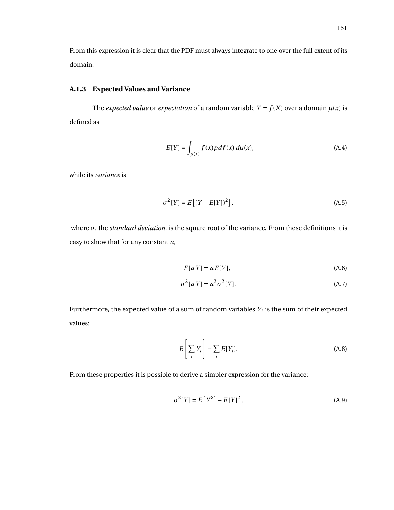From this expression it is clear that the PDF must always integrate to one over the full extent of its domain.

## **A.1.3 Expected Values and Variance**

The *expected value* or *expectation* of a random variable  $Y = f(X)$  over a domain  $\mu(x)$  is defined as

<span id="page-2-2"></span>
$$
E[Y] = \int_{\mu(x)} f(x) p df(x) d\mu(x), \qquad (A.4)
$$

while its *variance* is

$$
\sigma^{2}[Y] = E[(Y - E[Y])^{2}], \tag{A.5}
$$

where *σ*, the *standard deviation*, is the square root of the variance. From these definitions it is easy to show that for any constant *a*,

<span id="page-2-1"></span>
$$
E[aY] = aE[Y],\tag{A.6}
$$

$$
\sigma^2[a\ Y] = a^2 \sigma^2[Y].\tag{A.7}
$$

Furthermore, the expected value of a sum of random variables  $Y_i$  is the sum of their expected values:

<span id="page-2-0"></span>
$$
E\left[\sum_{i} Y_{i}\right] = \sum_{i} E[Y_{i}].
$$
\n(A.8)

From these properties it is possible to derive a simpler expression for the variance:

$$
\sigma^{2}[Y] = E[Y^{2}] - E[Y]^{2}.
$$
 (A.9)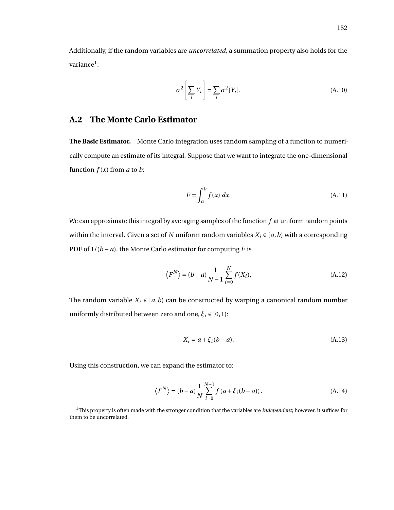Additionally, if the random variables are *uncorrelated*, a summation property also holds for the variance $^{\rm l}$ :

<span id="page-3-2"></span>
$$
\sigma^2 \left[ \sum_i Y_i \right] = \sum_i \sigma^2 [Y_i]. \tag{A.10}
$$

# **A.2 The Monte Carlo Estimator**

**The Basic Estimator.** Monte Carlo integration uses random sampling of a function to numerically compute an estimate of its integral. Suppose that we want to integrate the one-dimensional function  $f(x)$  from  $a$  to  $b$ :

<span id="page-3-1"></span>
$$
F = \int_{a}^{b} f(x) dx.
$$
 (A.11)

We can approximate this integral by averaging samples of the function *f* at uniform random points within the interval. Given a set of *N* uniform random variables  $X_i \in [a, b)$  with a corresponding PDF of  $1/(b - a)$ , the Monte Carlo estimator for computing *F* is

$$
\langle F^N \rangle = (b-a) \frac{1}{N-1} \sum_{i=0}^N f(X_i), \tag{A.12}
$$

The random variable  $X_i \in [a, b)$  can be constructed by warping a canonical random number uniformly distributed between zero and one,  $\xi_i \in [0,1)$ :

<span id="page-3-3"></span>
$$
X_i = a + \xi_i (b - a). \tag{A.13}
$$

Using this construction, we can expand the estimator to:

$$
\langle F^N \rangle = (b-a) \frac{1}{N} \sum_{i=0}^{N-1} f(a+\xi_i(b-a)). \tag{A.14}
$$

<span id="page-3-0"></span><sup>1</sup>This property is often made with the stronger condition that the variables are *independent*; however, it suffices for them to be uncorrelated.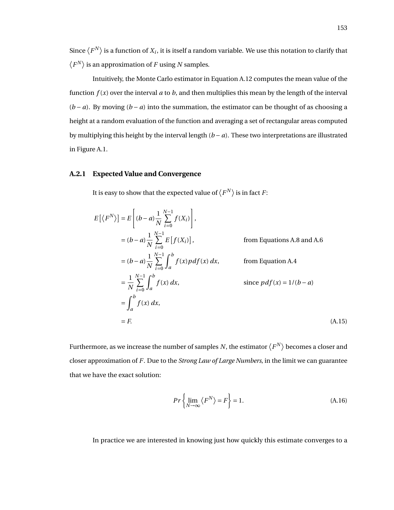Since  $\langle F^N\rangle$  is a function of  $X_i$ , it is itself a random variable. We use this notation to clarify that  $\langle F^N \rangle$  is an approximation of *F* using *N* samples.

Intuitively, the Monte Carlo estimator in Equation [A.12](#page-3-1) computes the mean value of the function  $f(x)$  over the interval  $a$  to  $b$ , and then multiplies this mean by the length of the interval  $(b - a)$ . By moving  $(b - a)$  into the summation, the estimator can be thought of as choosing a height at a random evaluation of the function and averaging a set of rectangular areas computed by multiplying this height by the interval length (*b* − *a*). These two interpretations are illustrated in Figure [A.1.](#page-5-0)

### **A.2.1 Expected Value and Convergence**

It is easy to show that the expected value of  $\langle F^N \rangle$  is in fact  $F$ :

$$
E[\langle F^N \rangle] = E\left[ (b-a) \frac{1}{N} \sum_{i=0}^{N-1} f(X_i) \right],
$$
  
\n
$$
= (b-a) \frac{1}{N} \sum_{i=0}^{N-1} E[f(X_i)],
$$
 from Equations A.8 and A.6  
\n
$$
= (b-a) \frac{1}{N} \sum_{i=0}^{N-1} \int_a^b f(x) p df(x) dx,
$$
 from Equation A.4  
\n
$$
= \frac{1}{N} \sum_{i=0}^{N-1} \int_a^b f(x) dx,
$$
 since  $p df(x) = 1/(b-a)$   
\n
$$
= \int_a^b f(x) dx,
$$
  
\n
$$
= F.
$$
 (A.15)

Furthermore, as we increase the number of samples  $N$ , the estimator  $\langle F^N \rangle$  becomes a closer and closer approximation of *F*. Due to the *Strong Law of Large Numbers*, in the limit we can guarantee that we have the exact solution:

<span id="page-4-1"></span><span id="page-4-0"></span>
$$
Pr\left\{\lim_{N\to\infty}\left\langle F^N\right\rangle = F\right\} = 1.
$$
\n(A.16)

In practice we are interested in knowing just how quickly this estimate converges to a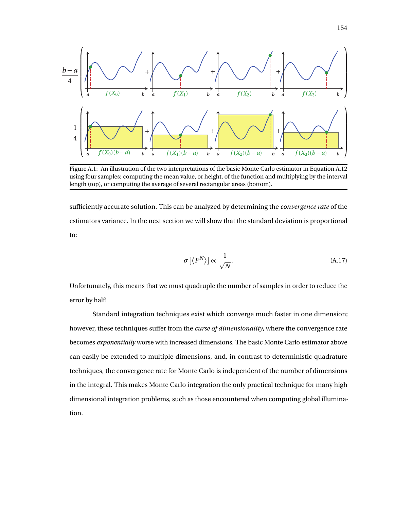<span id="page-5-0"></span>

Figure A.1: An illustration of the two interpretations of the basic Monte Carlo estimator in Equation [A.12](#page-3-1) using four samples: computing the mean value, or height, of the function and multiplying by the interval length (top), or computing the average of several rectangular areas (bottom).

sufficiently accurate solution. This can be analyzed by determining the *convergence rate* of the estimators variance. In the next section we will show that the standard deviation is proportional to:

$$
\sigma\left[\langle F^N \rangle\right] \propto \frac{1}{\sqrt{N}}.\tag{A.17}
$$

Unfortunately, this means that we must quadruple the number of samples in order to reduce the error by half!

Standard integration techniques exist which converge much faster in one dimension; however, these techniques suffer from the *curse of dimensionality*, where the convergence rate becomes *exponentially* worse with increased dimensions. The basic Monte Carlo estimator above can easily be extended to multiple dimensions, and, in contrast to deterministic quadrature techniques, the convergence rate for Monte Carlo is independent of the number of dimensions in the integral. This makes Monte Carlo integration the only practical technique for many high dimensional integration problems, such as those encountered when computing global illumination.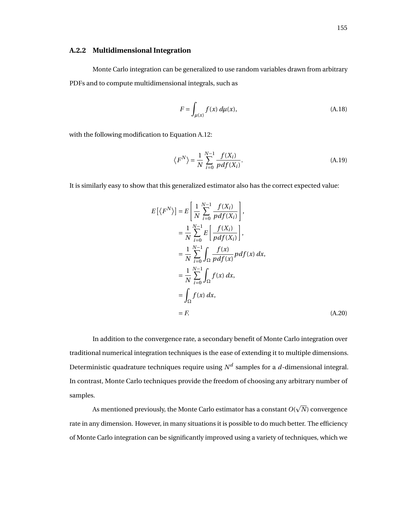### **A.2.2 Multidimensional Integration**

Monte Carlo integration can be generalized to use random variables drawn from arbitrary PDFs and to compute multidimensional integrals, such as

<span id="page-6-0"></span>
$$
F = \int_{\mu(x)} f(x) d\mu(x),\tag{A.18}
$$

with the following modification to Equation [A.12:](#page-3-1)

$$
\langle F^N \rangle = \frac{1}{N} \sum_{i=0}^{N-1} \frac{f(X_i)}{pdf(X_i)}.
$$
\n(A.19)

It is similarly easy to show that this generalized estimator also has the correct expected value:

<span id="page-6-1"></span>
$$
E\left[\langle F^N \rangle\right] = E\left[\frac{1}{N} \sum_{i=0}^{N-1} \frac{f(X_i)}{pdf(X_i)}\right],
$$
  
\n
$$
= \frac{1}{N} \sum_{i=0}^{N-1} E\left[\frac{f(X_i)}{pdf(X_i)}\right],
$$
  
\n
$$
= \frac{1}{N} \sum_{i=0}^{N-1} \int_{\Omega} \frac{f(x)}{pdf(x)} pdf(x) dx,
$$
  
\n
$$
= \frac{1}{N} \sum_{i=0}^{N-1} \int_{\Omega} f(x) dx,
$$
  
\n
$$
= \int_{\Omega} f(x) dx,
$$
  
\n
$$
= F.
$$
 (A.20)

In addition to the convergence rate, a secondary benefit of Monte Carlo integration over traditional numerical integration techniques is the ease of extending it to multiple dimensions. Deterministic quadrature techniques require using  $N^d$  samples for a  $d$ -dimensional integral. In contrast, Monte Carlo techniques provide the freedom of choosing any arbitrary number of samples. p

As mentioned previously, the Monte Carlo estimator has a constant *O*( *N*) convergence rate in any dimension. However, in many situations it is possible to do much better. The efficiency of Monte Carlo integration can be significantly improved using a variety of techniques, which we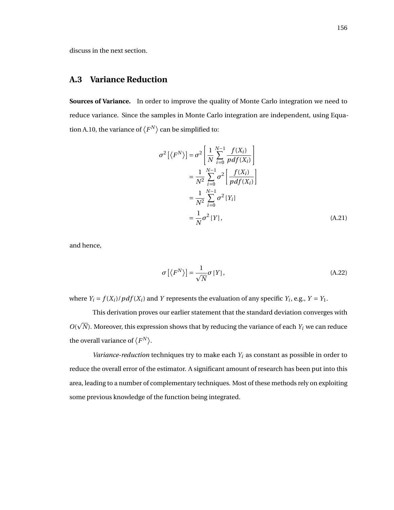discuss in the next section.

# **A.3 Variance Reduction**

**Sources of Variance.** In order to improve the quality of Monte Carlo integration we need to reduce variance. Since the samples in Monte Carlo integration are independent, using Equa-tion [A.10,](#page-3-2) the variance of  $\langle F^N \rangle$  can be simplified to:

$$
\sigma^2 \left[ \langle F^N \rangle \right] = \sigma^2 \left[ \frac{1}{N} \sum_{i=0}^{N-1} \frac{f(X_i)}{pdf(X_i)} \right]
$$
  
\n
$$
= \frac{1}{N^2} \sum_{i=0}^{N-1} \sigma^2 \left[ \frac{f(X_i)}{pdf(X_i)} \right]
$$
  
\n
$$
= \frac{1}{N^2} \sum_{i=0}^{N-1} \sigma^2 \left[ Y_i \right]
$$
  
\n
$$
= \frac{1}{N} \sigma^2 \left[ Y \right], \tag{A.21}
$$

and hence,

$$
\sigma\left[\left\langle F^N\right\rangle\right] = \frac{1}{\sqrt{N}}\sigma\left[Y\right],\tag{A.22}
$$

where  $Y_i = f(X_i)/pdf(X_i)$  and *Y* represents the evaluation of any specific  $Y_i$ , e.g.,  $Y = Y_1$ .

This derivation proves our earlier statement that the standard deviation converges with  $O(\sqrt{N})$ . Moreover, this expression shows that by reducing the variance of each  $Y_i$  we can reduce the overall variance of  $\langle F^N \rangle$ .

*Variance-reduction* techniques try to make each *Y<sup>i</sup>* as constant as possible in order to reduce the overall error of the estimator. A significant amount of research has been put into this area, leading to a number of complementary techniques. Most of these methods rely on exploiting some previous knowledge of the function being integrated.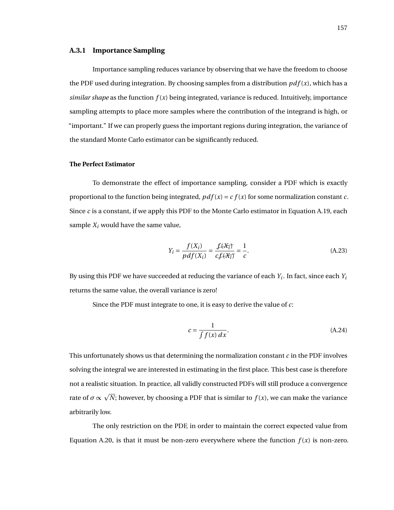### **A.3.1 Importance Sampling**

Importance sampling reduces variance by observing that we have the freedom to choose the PDF used during integration. By choosing samples from a distribution  $pdf(x)$ , which has a *similar shape* as the function  $f(x)$  being integrated, variance is reduced. Intuitively, importance sampling attempts to place more samples where the contribution of the integrand is high, or "important." If we can properly guess the important regions during integration, the variance of the standard Monte Carlo estimator can be significantly reduced.

### **The Perfect Estimator**

To demonstrate the effect of importance sampling, consider a PDF which is exactly proportional to the function being integrated,  $pdf(x) = cf(x)$  for some normalization constant *c*. Since *c* is a constant, if we apply this PDF to the Monte Carlo estimator in Equation [A.19,](#page-6-0) each sample  $X_i$  would have the same value,

$$
Y_i = \frac{f(X_i)}{pdf(X_i)} = \frac{f(X_i)}{cf(X_i)} = \frac{1}{c}.
$$
\n(A.23)

By using this PDF we have succeeded at reducing the variance of each *Y<sup>i</sup>* . In fact, since each *Y<sup>i</sup>* returns the same value, the overall variance is zero!

Since the PDF must integrate to one, it is easy to derive the value of *c*:

$$
c = \frac{1}{\int f(x) \, dx}.\tag{A.24}
$$

This unfortunately shows us that determining the normalization constant *c* in the PDF involves solving the integral we are interested in estimating in the first place. This best case is therefore not a realistic situation. In practice, all validly constructed PDFs will still produce a convergence rate of *σ* ∝ p *N*; however, by choosing a PDF that is similar to *f* (*x*), we can make the variance arbitrarily low.

The only restriction on the PDF, in order to maintain the correct expected value from Equation [A.20,](#page-6-1) is that it must be non-zero everywhere where the function  $f(x)$  is non-zero.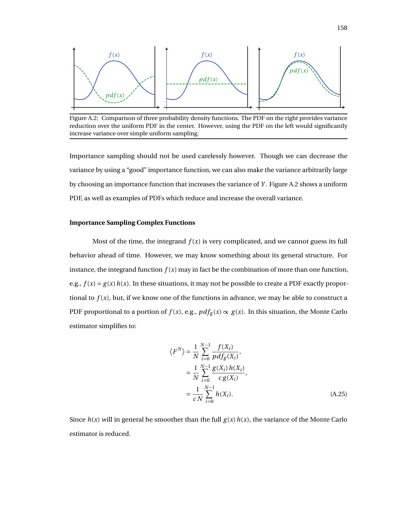<span id="page-9-0"></span>

Figure A.2: Comparison of three probability density functions. The PDF on the right provides variance reduction over the uniform PDF in the center. However, using the PDF on the left would significantly increase variance over simple uniform sampling.

Importance sampling should not be used carelessly however. Though we can decrease the variance by using a "good" importance function, we can also make the variance arbitrarily large by choosing an importance function that increases the variance of *Y* . Figure [A.2](#page-9-0) shows a uniform PDF, as well as examples of PDFs which reduce and increase the overall variance.

### **Importance Sampling Complex Functions**

Most of the time, the integrand  $f(x)$  is very complicated, and we cannot guess its full behavior ahead of time. However, we may know something about its general structure. For instance, the integrand function  $f(x)$  may in fact be the combination of more than one function, e.g.,  $f(x) = g(x)h(x)$ . In these situations, it may not be possible to create a PDF exactly proportional to  $f(x)$ , but, if we know one of the functions in advance, we may be able to construct a PDF proportional to a portion of  $f(x)$ , e.g.,  $pdf_g(x) \propto g(x)$ . In this situation, the Monte Carlo estimator simplifies to:

$$
\langle F^N \rangle = \frac{1}{N} \sum_{i=0}^{N-1} \frac{f(X_i)}{pdf_g(X_i)},
$$
  
= 
$$
\frac{1}{N} \sum_{i=0}^{N-1} \frac{g(X_i) h(X_i)}{c g(X_i)},
$$
  
= 
$$
\frac{1}{c} \sum_{i=0}^{N-1} h(X_i).
$$
 (A.25)

Since  $h(x)$  will in general be smoother than the full  $g(x)h(x)$ , the variance of the Monte Carlo estimator is reduced.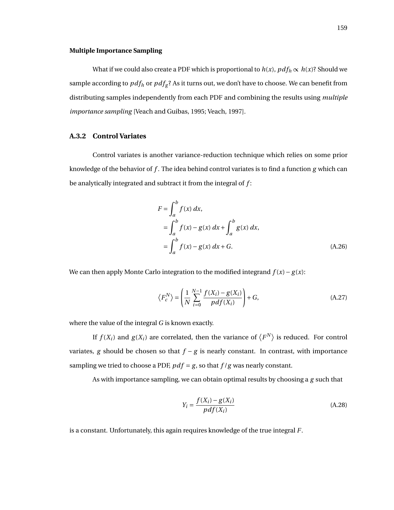### **Multiple Importance Sampling**

What if we could also create a PDF which is proportional to  $h(x)$ ,  $pdf_h \propto h(x)$ ? Should we sample according to  $pdf_h$  or  $pdf_g$ ? As it turns out, we don't have to choose. We can benefit from distributing samples independently from each PDF and combining the results using *multiple importance sampling* [\[Veach and Guibas,](#page--1-5) [1995;](#page--1-5) [Veach,](#page--1-2) [1997\]](#page--1-2).

### **A.3.2 Control Variates**

Control variates is another variance-reduction technique which relies on some prior knowledge of the behavior of *f* . The idea behind control variates is to find a function *g* which can be analytically integrated and subtract it from the integral of *f* :

$$
F = \int_{a}^{b} f(x) dx,
$$
  
=  $\int_{a}^{b} f(x) - g(x) dx + \int_{a}^{b} g(x) dx,$   
=  $\int_{a}^{b} f(x) - g(x) dx + G.$  (A.26)

We can then apply Monte Carlo integration to the modified integrand *f* (*x*)− *g* (*x*):

<span id="page-10-0"></span>
$$
\left\langle F_c^N \right\rangle = \left( \frac{1}{N} \sum_{i=0}^{N-1} \frac{f(X_i) - g(X_i)}{pdf(X_i)} \right) + G,\tag{A.27}
$$

where the value of the integral *G* is known exactly.

If  $f(X_i)$  and  $g(X_i)$  are correlated, then the variance of  $\left\langle F^N \right\rangle$  is reduced. For control variates, *g* should be chosen so that *f* − *g* is nearly constant. In contrast, with importance sampling we tried to choose a PDF,  $pdf = g$ , so that  $f/g$  was nearly constant.

As with importance sampling, we can obtain optimal results by choosing a *g* such that

$$
Y_i = \frac{f(X_i) - g(X_i)}{pdf(X_i)}
$$
\n(A.28)

is a constant. Unfortunately, this again requires knowledge of the true integral *F*.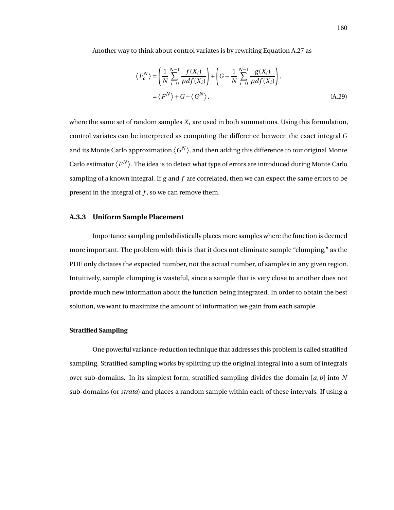Another way to think about control variates is by rewriting Equation [A.27](#page-10-0) as

$$
\langle F_c^N \rangle = \left( \frac{1}{N} \sum_{i=0}^{N-1} \frac{f(X_i)}{pdf(X_i)} \right) + \left( G - \frac{1}{N} \sum_{i=0}^{N-1} \frac{g(X_i)}{pdf(X_i)} \right),
$$
  
=  $\langle F^N \rangle + G - \langle G^N \rangle,$  (A.29)

where the same set of random samples *X<sup>i</sup>* are used in both summations. Using this formulation, control variates can be interpreted as computing the difference between the exact integral *G* and its Monte Carlo approximation  $\langle G^N \rangle$ , and then adding this difference to our original Monte Carlo estimator  $\langle F^N \rangle$ . The idea is to detect what type of errors are introduced during Monte Carlo sampling of a known integral. If *g* and *f* are correlated, then we can expect the same errors to be present in the integral of *f* , so we can remove them.

### **A.3.3 Uniform Sample Placement**

Importance sampling probabilistically places more samples where the function is deemed more important. The problem with this is that it does not eliminate sample "clumping," as the PDF only dictates the expected number, not the actual number, of samples in any given region. Intuitively, sample clumping is wasteful, since a sample that is very close to another does not provide much new information about the function being integrated. In order to obtain the best solution, we want to maximize the amount of information we gain from each sample.

### **Stratified Sampling**

One powerful variance-reduction technique that addresses this problem is called stratified sampling. Stratified sampling works by splitting up the original integral into a sum of integrals over sub-domains. In its simplest form, stratified sampling divides the domain [*a*,*b*] into *N* sub-domains (or *strata*) and places a random sample within each of these intervals. If using a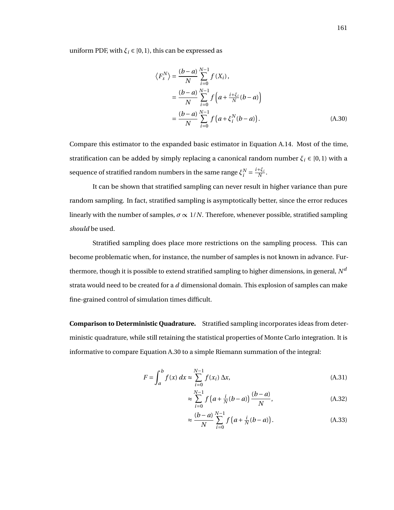uniform PDF, with  $\xi_i \in [0, 1)$ , this can be expressed as

<span id="page-12-0"></span>
$$
\langle F_s^N \rangle = \frac{(b-a)}{N} \sum_{i=0}^{N-1} f(X_i),
$$
  
= 
$$
\frac{(b-a)}{N} \sum_{i=0}^{N-1} f\left(a + \frac{i + \xi_i}{N}(b-a)\right)
$$
  
= 
$$
\frac{(b-a)}{N} \sum_{i=0}^{N-1} f\left(a + \xi_i^N(b-a)\right).
$$
 (A.30)

Compare this estimator to the expanded basic estimator in Equation [A.14.](#page-3-3) Most of the time, stratification can be added by simply replacing a canonical random number  $\xi_i \in [0,1)$  with a sequence of stratified random numbers in the same range  $\xi_i^N = \frac{i+\xi_i}{N}$  $\frac{+ \varsigma_i}{N}$ .

It can be shown that stratified sampling can never result in higher variance than pure random sampling. In fact, stratified sampling is asymptotically better, since the error reduces linearly with the number of samples,  $\sigma \propto 1/N$ . Therefore, whenever possible, stratified sampling *should* be used.

Stratified sampling does place more restrictions on the sampling process. This can become problematic when, for instance, the number of samples is not known in advance. Furthermore, though it is possible to extend stratified sampling to higher dimensions, in general,  $N^{\bar{d}}$ strata would need to be created for a *d* dimensional domain. This explosion of samples can make fine-grained control of simulation times difficult.

**Comparison to Deterministic Quadrature.** Stratified sampling incorporates ideas from deterministic quadrature, while still retaining the statistical properties of Monte Carlo integration. It is informative to compare Equation [A.30](#page-12-0) to a simple Riemann summation of the integral:

$$
F = \int_{a}^{b} f(x) \, dx \approx \sum_{i=0}^{N-1} f(x_i) \, \Delta x,\tag{A.31}
$$

$$
\approx \sum_{i=0}^{N-1} f\left(a + \frac{i}{N}(b-a)\right) \frac{(b-a)}{N},\tag{A.32}
$$

$$
\approx \frac{(b-a)}{N} \sum_{i=0}^{N-1} f\left(a + \frac{i}{N}(b-a)\right).
$$
 (A.33)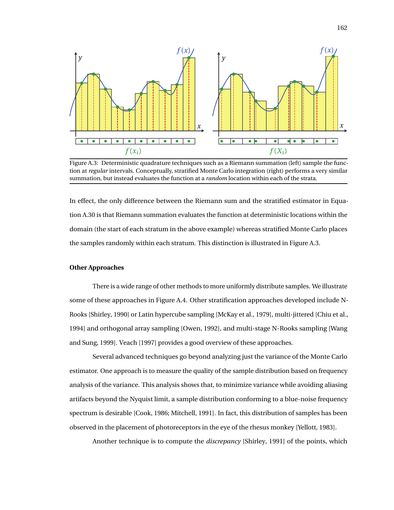<span id="page-13-0"></span>

Figure A.3: Deterministic quadrature techniques such as a Riemann summation (left) sample the function at *regular* intervals. Conceptually, stratified Monte Carlo integration (right) performs a very similar summation, but instead evaluates the function at a *random* location within each of the strata.

In effect, the only difference between the Riemann sum and the stratified estimator in Equation [A.30](#page-12-0) is that Riemann summation evaluates the function at deterministic locations within the domain (the start of each stratum in the above example) whereas stratified Monte Carlo places the samples randomly within each stratum. This distinction is illustrated in Figure [A.3.](#page-13-0)

### **Other Approaches**

There is a wide range of other methods to more uniformly distribute samples. We illustrate some of these approaches in Figure [A.4.](#page-14-0) Other stratification approaches developed include N-Rooks [\[Shirley,](#page--1-6) [1990\]](#page--1-6) or Latin hypercube sampling [\[McKay et al.,](#page--1-7) [1979\]](#page--1-7), multi-jittered [\[Chiu et al.,](#page--1-8) [1994\]](#page--1-8) and orthogonal array sampling [\[Owen,](#page--1-9) [1992\]](#page--1-9), and multi-stage N-Rooks sampling [\[Wang](#page--1-10) [and Sung,](#page--1-10) [1999\]](#page--1-10). [Veach](#page--1-2) [\[1997\]](#page--1-2) provides a good overview of these approaches.

Several advanced techniques go beyond analyzing just the variance of the Monte Carlo estimator. One approach is to measure the quality of the sample distribution based on frequency analysis of the variance. This analysis shows that, to minimize variance while avoiding aliasing artifacts beyond the Nyquist limit, a sample distribution conforming to a blue-noise frequency spectrum is desirable [\[Cook,](#page--1-11) [1986;](#page--1-11) [Mitchell,](#page--1-12) [1991\]](#page--1-12). In fact, this distribution of samples has been observed in the placement of photoreceptors in the eye of the rhesus monkey [\[Yellott,](#page--1-13) [1983\]](#page--1-13).

Another technique is to compute the *discrepancy* [\[Shirley,](#page--1-1) [1991\]](#page--1-1) of the points, which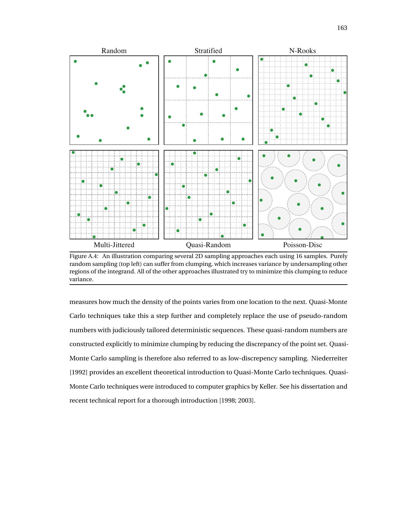<span id="page-14-0"></span>

Figure A.4: An illustration comparing several 2D sampling approaches each using 16 samples. Purely random sampling (top left) can suffer from clumping, which increases variance by undersampling other regions of the integrand. All of the other approaches illustrated try to minimize this clumping to reduce variance.

measures how much the density of the points varies from one location to the next. Quasi-Monte Carlo techniques take this a step further and completely replace the use of pseudo-random numbers with judiciously tailored deterministic sequences. These quasi-random numbers are constructed explicitly to minimize clumping by reducing the discrepancy of the point set. Quasi-Monte Carlo sampling is therefore also referred to as low-discrepency sampling. [Niederreiter](#page--1-14) [\[1992\]](#page--1-14) provides an excellent theoretical introduction to Quasi-Monte Carlo techniques. Quasi-Monte Carlo techniques were introduced to computer graphics by [Keller.](#page--1-15) See his dissertation and recent technical report for a thorough introduction [\[1998;](#page--1-15) [2003\]](#page--1-16).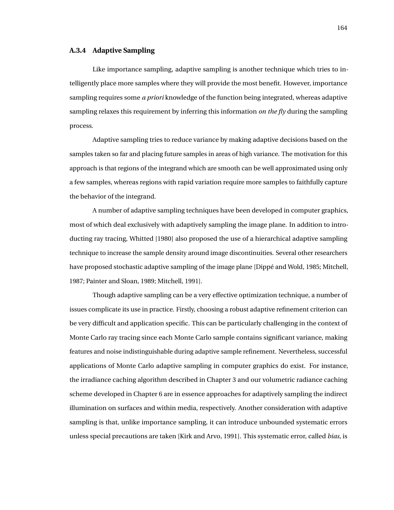### **A.3.4 Adaptive Sampling**

Like importance sampling, adaptive sampling is another technique which tries to intelligently place more samples where they will provide the most benefit. However, importance sampling requires some *a priori* knowledge of the function being integrated, whereas adaptive sampling relaxes this requirement by inferring this information *on the fly* during the sampling process.

Adaptive sampling tries to reduce variance by making adaptive decisions based on the samples taken so far and placing future samples in areas of high variance. The motivation for this approach is that regions of the integrand which are smooth can be well approximated using only a few samples, whereas regions with rapid variation require more samples to faithfully capture the behavior of the integrand.

A number of adaptive sampling techniques have been developed in computer graphics, most of which deal exclusively with adaptively sampling the image plane. In addition to introducting ray tracing, [Whitted](#page--1-17) [\[1980\]](#page--1-17) also proposed the use of a hierarchical adaptive sampling technique to increase the sample density around image discontinuities. Several other researchers have proposed stochastic adaptive sampling of the image plane [\[Dippé and Wold,](#page--1-18) [1985;](#page--1-18) [Mitchell,](#page--1-19) [1987;](#page--1-19) [Painter and Sloan,](#page--1-11) [1989;](#page--1-11) [Mitchell,](#page--1-12) [1991\]](#page--1-12).

Though adaptive sampling can be a very effective optimization technique, a number of issues complicate its use in practice. Firstly, choosing a robust adaptive refinement criterion can be very difficult and application specific. This can be particularly challenging in the context of Monte Carlo ray tracing since each Monte Carlo sample contains significant variance, making features and noise indistinguishable during adaptive sample refinement. Nevertheless, successful applications of Monte Carlo adaptive sampling in computer graphics do exist. For instance, the irradiance caching algorithm described in Chapter [3](#page--1-20) and our volumetric radiance caching scheme developed in Chapter [6](#page--1-20) are in essence approaches for adaptively sampling the indirect illumination on surfaces and within media, respectively. Another consideration with adaptive sampling is that, unlike importance sampling, it can introduce unbounded systematic errors unless special precautions are taken [\[Kirk and Arvo,](#page--1-11) [1991\]](#page--1-11). This systematic error, called *bias*, is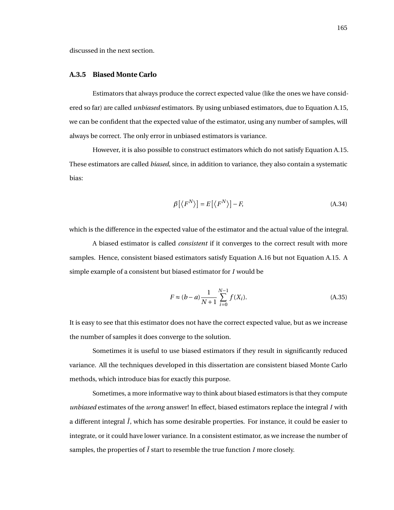discussed in the next section.

### **A.3.5 Biased Monte Carlo**

Estimators that always produce the correct expected value (like the ones we have considered so far) are called *unbiased* estimators. By using unbiased estimators, due to Equation [A.15,](#page-4-0) we can be confident that the expected value of the estimator, using any number of samples, will always be correct. The only error in unbiased estimators is variance.

However, it is also possible to construct estimators which do not satisfy Equation [A.15.](#page-4-0) These estimators are called *biased*, since, in addition to variance, they also contain a systematic bias:

$$
\beta[\langle F^N \rangle] = E[\langle F^N \rangle] - F,\tag{A.34}
$$

which is the difference in the expected value of the estimator and the actual value of the integral.

A biased estimator is called *consistent* if it converges to the correct result with more samples. Hence, consistent biased estimators satisfy Equation [A.16](#page-4-1) but not Equation [A.15.](#page-4-0) A simple example of a consistent but biased estimator for *I* would be

$$
F \approx (b - a) \frac{1}{N + 1} \sum_{i=0}^{N-1} f(X_i).
$$
 (A.35)

It is easy to see that this estimator does not have the correct expected value, but as we increase the number of samples it does converge to the solution.

Sometimes it is useful to use biased estimators if they result in significantly reduced variance. All the techniques developed in this dissertation are consistent biased Monte Carlo methods, which introduce bias for exactly this purpose.

Sometimes, a more informative way to think about biased estimators is that they compute *unbiased* estimates of the *wrong* answer! In effect, biased estimators replace the integral *I* with a different integral  $\overline{I}$ , which has some desirable properties. For instance, it could be easier to integrate, or it could have lower variance. In a consistent estimator, as we increase the number of samples, the properties of  $\overline{I}$  start to resemble the true function  $I$  more closely.